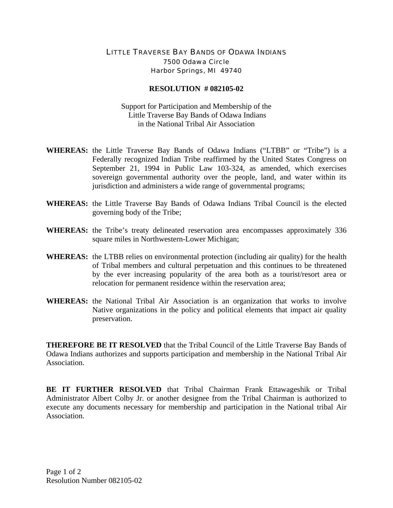## LITTLE TRAVERSE BAY BANDS OF ODAWA INDIANS 7500 Odawa Circle Harbor Springs, MI 49740

## **RESOLUTION # 082105-02**

Support for Participation and Membership of the Little Traverse Bay Bands of Odawa Indians in the National Tribal Air Association

- **WHEREAS:** the Little Traverse Bay Bands of Odawa Indians ("LTBB" or "Tribe") is a Federally recognized Indian Tribe reaffirmed by the United States Congress on September 21, 1994 in Public Law 103-324, as amended, which exercises sovereign governmental authority over the people, land, and water within its jurisdiction and administers a wide range of governmental programs;
- **WHEREAS:** the Little Traverse Bay Bands of Odawa Indians Tribal Council is the elected governing body of the Tribe;
- **WHEREAS:** the Tribe's treaty delineated reservation area encompasses approximately 336 square miles in Northwestern-Lower Michigan;
- **WHEREAS:** the LTBB relies on environmental protection (including air quality) for the health of Tribal members and cultural perpetuation and this continues to be threatened by the ever increasing popularity of the area both as a tourist/resort area or relocation for permanent residence within the reservation area;
- **WHEREAS:** the National Tribal Air Association is an organization that works to involve Native organizations in the policy and political elements that impact air quality preservation.

**THEREFORE BE IT RESOLVED** that the Tribal Council of the Little Traverse Bay Bands of Odawa Indians authorizes and supports participation and membership in the National Tribal Air Association.

**BE IT FURTHER RESOLVED** that Tribal Chairman Frank Ettawageshik or Tribal Administrator Albert Colby Jr. or another designee from the Tribal Chairman is authorized to execute any documents necessary for membership and participation in the National tribal Air Association.